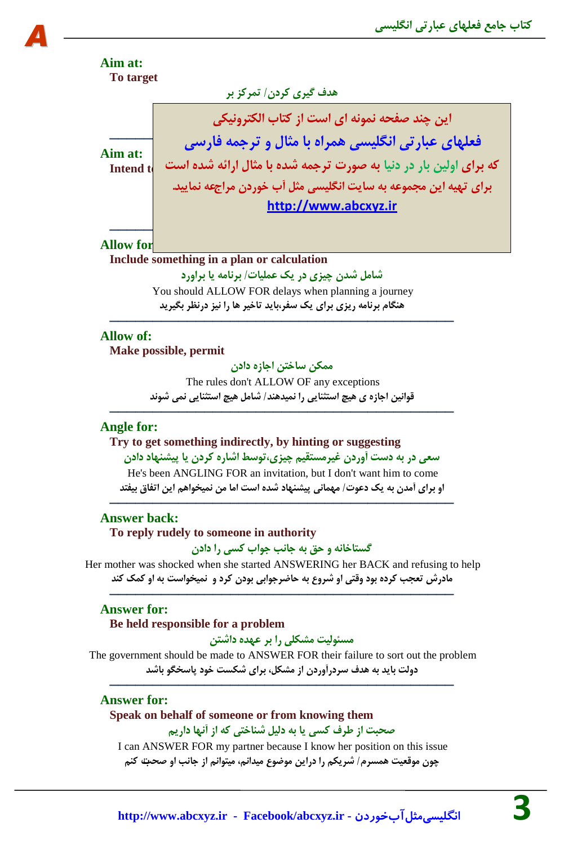

## **Allow of:**

*A*

**Make possible, permit**

**هوىي سبختي اخبصُ دادى**

The rules don't ALLOW OF any exceptions **لَاًیي اخبصُ ی ّیر استثٌبیی سا ًویذٌّذ/ ضبهل ّیر استثٌبیی ًوی ضًَذ**

────────────────────────────────────────

## **Angle for:**

**Try to get something indirectly, by hinting or suggesting سؼی دس ثِ دست آٍسدى غیشهستمین زیضی،تَسط اضبسُ وشدى یب پیطٌْبد دادى** He's been ANGLING FOR an invitation, but I don't want him to come **اٍ ثشای آهذى ثِ یه دػَت/ هْوبًی پیطٌْبد ضذُ است اهب هي ًویخَاّن ایي اتفبق ثیفتذ**

────────────────────────────────────────

#### **Answer back:**

## **To reply rudely to someone in authority**

**گستبخبًِ ٍ حك ثِ خبًت خَاة وسی سا دادى**

Her mother was shocked when she started ANSWERING her BACK and refusing to help **هبدسش تؼدت وشدُ ثَد ٍلتی اٍ ضشٍع ثِ حبضشخَاثی ثَدى وشد ٍ ًویخَاست ثِ اٍ ووه وٌذ**

────────────────────────────────────────

## **Answer for:**

#### **Be held responsible for a problem**

**هسئَلیت هطىلی سا ثش ػْذُ داضتي**

The government should be made to ANSWER FOR their failure to sort out the problem **دٍلت ثبیذ ثِ ّذف سشدسآٍسدى اص هطىل، ثشای ضىست خَد پبسخگَ ثبضذ**

────────────────────────────────────────

## **Answer for:**

## **Speak on behalf of someone or from knowing them**

## **صحجت اص طشف وسی یب ثِ دلیل ضٌبختی وِ اص آًْب داسین**

I can ANSWER FOR my partner because I know her position on this issue **زَى هَلؼیت ّوسشم/ ضشیىن سا دسایي هَضَع هیذاًن، هیتَاًن اص خبًت اٍ صحتت وٌن**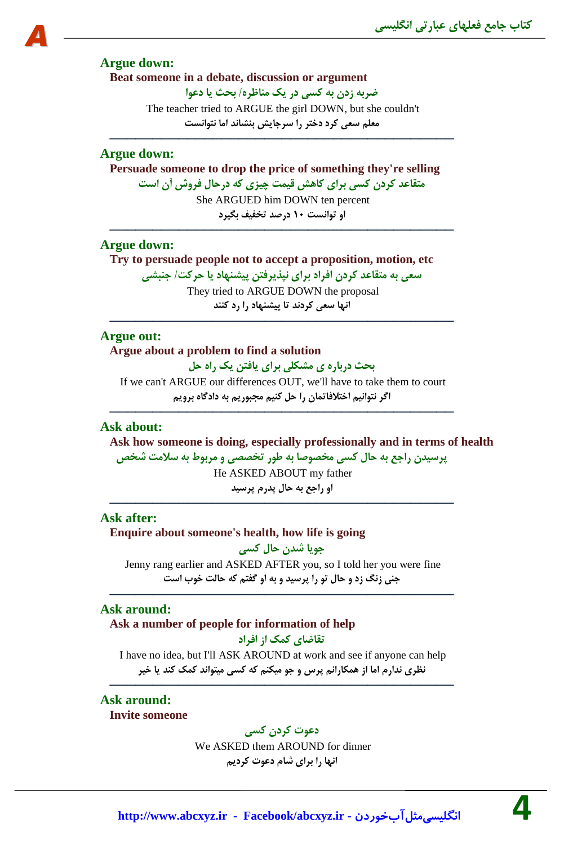#### **Argue down:**

*A*

**Beat someone in a debate, discussion or argument**

**ضشثِ صدى ثِ وسی دس یه هٌبظش/ُ ثحث یب دػَا**

The teacher tried to ARGUE the girl DOWN, but she couldn't **هؼلن سؼی وشد دختش سا سشخبیص ثٌطبًذ اهب ًتَاًست**

──────────────────────────────────<del>─</del>

## **Argue down:**

**Persuade someone to drop the price of something they're selling هتمبػذ وشدى وسی ثشای وبّص لیوت زیضی وِ دسحبل فشٍش آى است** She ARGUED him DOWN ten percent **اٍ تَاًست 10 دسصذ تخفیف ثگیشد**

## **Argue down:**

**Try to persuade people not to accept a proposition, motion, etc**

**سؼی ثِ هتمبػذ وشدى افشاد ثشای ًپزیشفتي پیطٌْبد یب حشوت/ خٌجطی**

They tried to ARGUE DOWN the proposal **اًْب سؼی وشدًذ تب پیطٌْبد سا سد وٌٌذ**

────────────────────────────────────────

────────────────────────────────────────

## **Argue out:**

**Argue about a problem to find a solution ثحث دسثبسُ ی هطىلی ثشای یبفتي یه ساُ حل**

If we can't ARGUE our differences OUT, we'll have to take them to court **اگش ًتَاًین اختالفبتوبى سا حل وٌین هدجَسین ثِ دادگبُ ثشٍین** ────────────────────────────────────────

## **Ask about:**

**Ask how someone is doing, especially professionally and in terms of health پشسیذى ساخغ ثِ حبل وسی هخصَصب ثِ طَس تخصصی ٍ هشثَط ثِ سالهت ضخص**

He ASKED ABOUT my father **اٍ ساخغ ثِ حبل پذسم پشسیذ** ────────────────────────────────────────

## **Ask after:**

**Enquire about someone's health, how life is going خَیب ضذى حبل وسی** Jenny rang earlier and ASKED AFTER you, so I told her you were fine **خٌی صًگ صد ٍ حبل تَ سا پشسیذ ٍ ثِ اٍ گفتن وِ حبلت خَة است**

────────────────────────────────────────

### **Ask around:**

# **Ask a number of people for information of help**

**تمبضبی ووه اص افشاد**

I have no idea, but I'll ASK AROUND at work and see if anyone can help **ًظشی ًذاسم اهب اص ّوىبساًن پشس ٍ خَ هیىٌن وِ وسی هیتَاًذ ووه وٌذ یب خیش** ────────────────────────────────────────

## **Ask around:**

**Invite someone**

## **دػَت وشدى وسی**

We ASKED them AROUND for dinner **اًْب سا ثشای ضبم دػَت وشدین**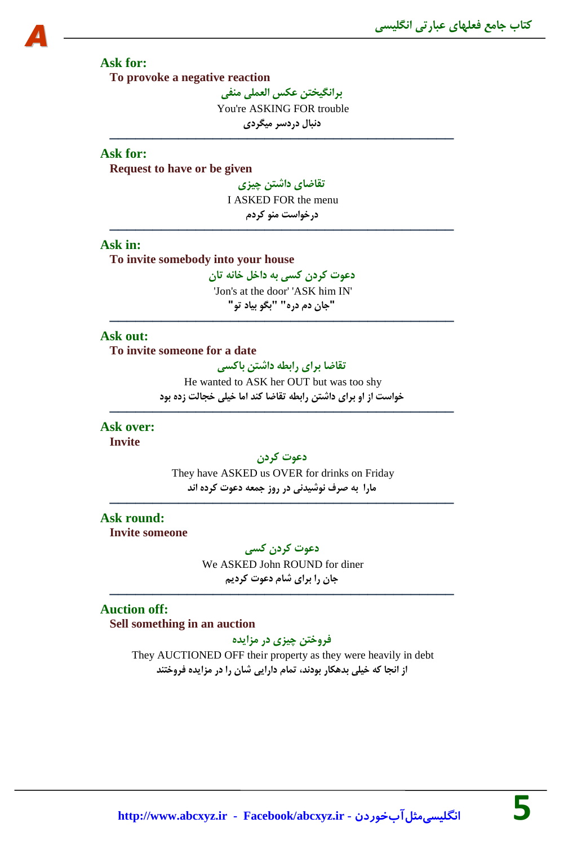## **Ask for:**

*A*

**To provoke a negative reaction**

**ثشاًگیختي ػىس الؼولی هٌفی** You're ASKING FOR trouble **دًجبل دسدسش هیگشدی**

────────────────────────────────────────

## **Ask for:**

**Request to have or be given**

**تمبضبی داضتي زیضی** I ASKED FOR the menu **دسخَاست هٌَ وشدم**

────────────────────────────────────────

#### **Ask in:**

**To invite somebody into your house**

**دػَت وشدى وسی ثِ داخل خبًِ تبى** 'Jon's at the door' 'ASK him IN' **"خبى دم دسُ" "ثگَ ثیبد تَ"**

────────────────────────────────────────

## **Ask out:**

**To invite someone for a date**

**تمبضب ثشای ساثطِ داضتي ثبوسی**

He wanted to ASK her OUT but was too shy **خَاست اص اٍ ثشای داضتي ساثطِ تمبضب وٌذ اهب خیلی خدبلت صدُ ثَد**

────────────────────────────────────────

**Ask over: Invite**

### **دػَت وشدى**

They have ASKED us OVER for drinks on Friday **هبسا ثِ صشف ًَضیذًی دس سٍص خوؼِ دػَت وشدُ اًذ**

────────────────────────────────────────

# **Ask round:**

**Invite someone**

**دػَت وشدى وسی** We ASKED John ROUND for diner **خبى سا ثشای ضبم دػَت وشدین**

────────────────────────────────────────

# **Auction off:**

**Sell something in an auction**

**فشٍختي زیضی دس هضایذُ**

They AUCTIONED OFF their property as they were heavily in debt **اص اًدب وِ خیلی ثذّىبس ثَدًذ، توبم داسایی ضبى سا دس هضایذُ فشٍختٌذ**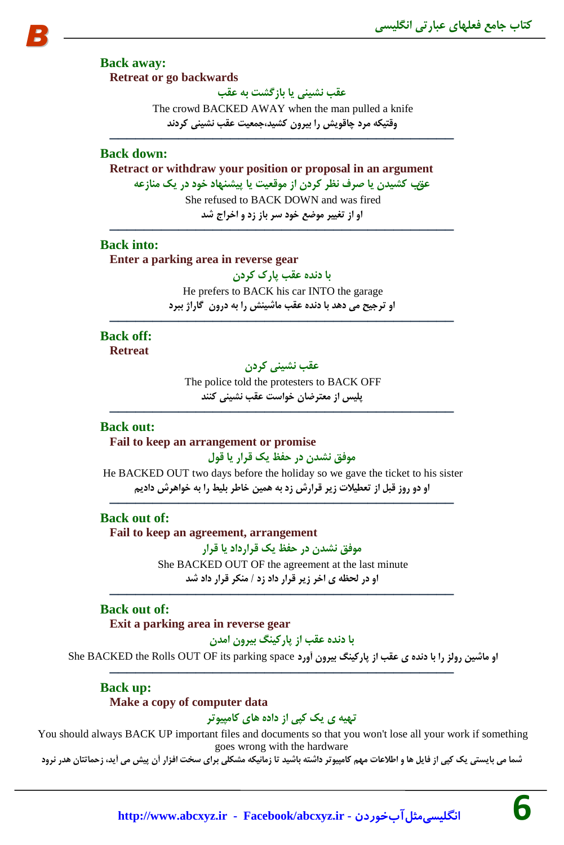**Back away: Retreat or go backwards**

**ػمت ًطیٌی یب ثبصگطت ثِ ػمت**

The crowd BACKED AWAY when the man pulled a knife **ٍلتیىِ هشد زبلَیص سا ثیشٍى وطیذ،خوؼیت ػمت ًطیٌی وشدًذ**

────────────────────────────────────────

#### **Back down:**

**Retract or withdraw your position or proposal in an argument** عقب كشیدن با صرف نظر كردن از موقعیت با پیشنهاد خود در یک منازعه She refused to BACK DOWN and was fired **اٍ اص تغییش هَضغ خَد سش ثبص صد ٍ اخشاج ضذ**

## **Back into:**

**Enter a parking area in reverse gear**

```
ثب دًذُ ػمت پبسن وشدى
```
He prefers to BACK his car INTO the garage **اٍ تشخیح هی دّذ ثب دًذُ ػمت هبضیٌص سا ثِ دسٍى گبساط ثجشد**

────────────────────────────────────────

────────────────────────────────────────

# **Back off:**

**Retreat**

## **ػمت ًطیٌی وشدى**

The police told the protesters to BACK OFF **پلیس اص هؼتشضبى خَاست ػمت ًطیٌی وٌٌذ**

────────────────────────────────────────

## **Back out:**

**Fail to keep an arrangement or promise**

## **هَفك ًطذى دس حفظ یه لشاس یب لَل**

He BACKED OUT two days before the holiday so we gave the ticket to his sister **اٍ دٍ سٍص لجل اص تؼطیالت صیش لشاسش صد ثِ ّویي خبطش ثلیط سا ثِ خَاّشش دادین** ────────────────────────────────────────

#### **Back out of:**

**Fail to keep an agreement, arrangement**

**هَفك ًطذى دس حفظ یه لشاسدادیب لشاس**

She BACKED OUT OF the agreement at the last minute **اٍ دس لحظِ ی اخش صیش لشاس داد صد / هٌىش لشاس داد ضذ** ────────────────────────────────────────

## **Back out of:**

**Exit a parking area in reverse gear**

**ثب دًذُ ػمت اص پبسویٌگ ثیشٍى اهذى**

**اٍ هبضیي سٍلض سا ثب دًذُ ی ػمت اص پبسویٌگ ثیشٍى آٍسد** space parking its OF OUT Rolls the BACKED She ────────────────────────────────────────

# **Back up:**

#### **Make a copy of computer data**

## **تْیِ ی یه وپی اص دادُ ّبی وبهپیَتش**

You should always BACK UP important files and documents so that you won't lose all your work if something goes wrong with the hardware

شما می بایستی یک کپی از فایل ها و اطلاعات مهم کامپیوتر داشته باشید تا زمانیکه مشکلی برای سخت افزار آن پیش می آید، زحماتتان هدر نرود

**[http://www.abcxyz.ir](http://www.abcxyz.ir/) - Facebook/abcxyz.ir - انگليسيمثلآبخوردن 6**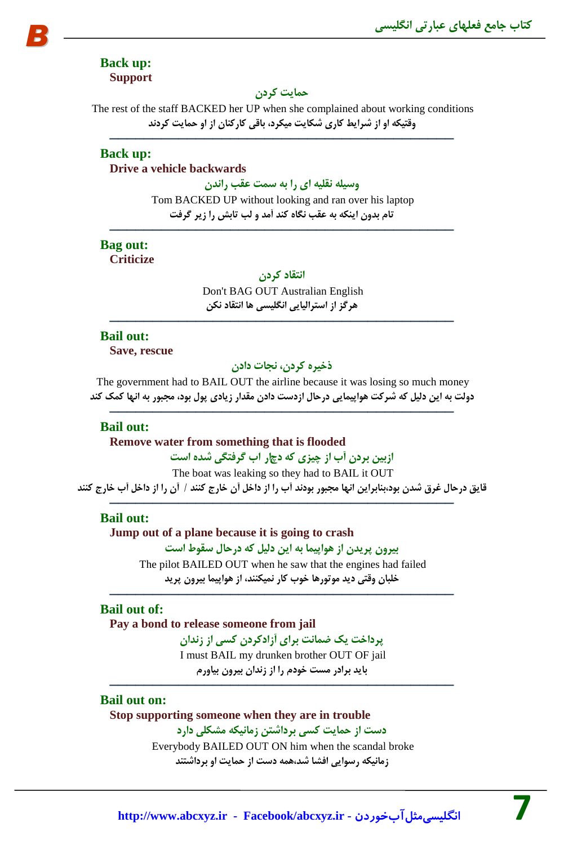## **Back up: Support**

*B*

## **حوبیت وشدى**

The rest of the staff BACKED her UP when she complained about working conditions **ٍلتیىِ اٍ اص ضشایط وبسی ضىبیت هیىشد، ثبلی وبسوٌبى اص اٍ حوبیت وشدًذ**

────────────────────────────────────────

#### **Back up: Drive a vehicle backwards**

**ٍسیلِ ًملیِ ای سا ثِ سوت ػمت ساًذى**

Tom BACKED UP without looking and ran over his laptop **تبم ثذٍى ایٌىِ ثِ ػمت ًگبُ وٌذ آهذ ٍ لت تبثص سا صیش گشفت**

─────────────────────────────────<del>─</del>

# **Bag out:**

**Criticize**

**اًتمبد وشدى**

Don't BAG OUT Australian English **ّشگض اص استشالیبیی اًگلیسی ّب اًتمبد ًىي**

────────────────────────────────────────

## **Bail out:**

**Save, rescue**

## **رخیشُ وشدى، ًدبت دادى**

The government had to BAIL OUT the airline because it was losing so much money دولت به این دلیل که شرکت هواپیمایی درحال ازدست دادن مقدار زیادی پول بود، مجبور به انها کمک کند

────────────────────────────────────────

## **Bail out:**

**Remove water from something that is flooded**

## **اصثیي ثشدى آة اص زیضی وِ دذاس اة گشفتگی ضذُ است**

The boat was leaking so they had to BAIL it OUT قایق درحال غرق شدن بود،بنابراین انها مجبور بودند آب را از داخل آن خارج کنند / آن را از داخل آب خارج کنند

────────────────────────────────────────

## **Bail out:**

**Jump out of a plane because it is going to crash ثیشٍى پشیذى اص َّاپیوب ثِ ایي دلیل وِ دسحبل سمَط است** The pilot BAILED OUT when he saw that the engines had failed **خلجبى ٍلتی دیذ هَتَسّب خَة وبس ًویىٌٌذ، اص َّاپیوب ثیشٍى پشیذ**

## **Bail out of:**

**Pay a bond to release someone from jail**

**پشداخت یه ضوبًت ثشای آصادوشدى وسی اص صًذاى** I must BAIL my drunken brother OUT OF jail **ثبیذ ثشادس هست خَدم سا اص صًذاى ثیشٍى ثیبٍسم**

────────────────────────────────────────

────────────────────────────────────────

## **Bail out on:**

**Stop supporting someone when they are in trouble دست اص حوبیت وسی ثشداضتي صهبًیىِ هطىلی داسد**

> Everybody BAILED OUT ON him when the scandal broke **صهبًیىِ سسَایی افطب ضذّ،وِ دست اص حوبیت اٍ ثشداضتٌذ**